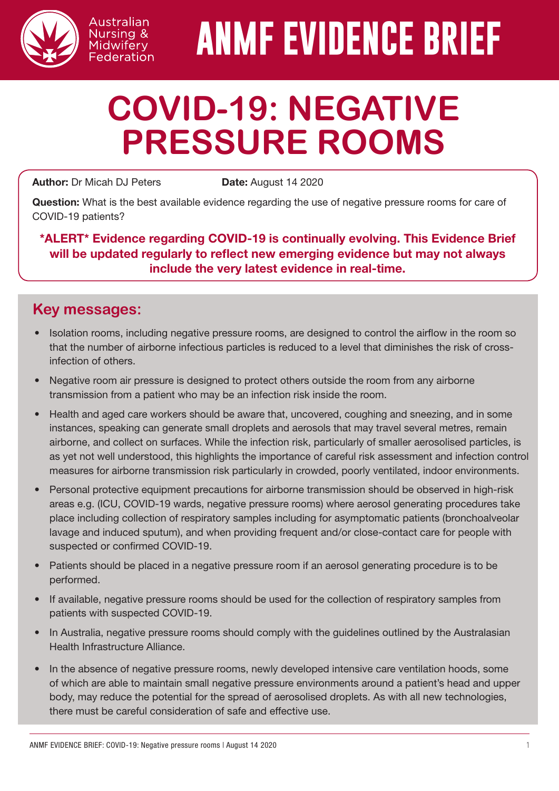

# **ANMF EVIDENCE BRIEF**

# **COVID-19: NEGATIVE PRESSURE ROOMS**

Author: Dr Micah DJ Peters Date: August 14 2020

Australian Nursing & Midwifery Federation

Question: What is the best available evidence regarding the use of negative pressure rooms for care of COVID-19 patients?

\*ALERT\* Evidence regarding COVID-19 is continually evolving. This Evidence Brief will be updated regularly to reflect new emerging evidence but may not always include the very latest evidence in real-time.

# **Key messages:**

- Isolation rooms, including negative pressure rooms, are designed to control the airflow in the room so that the number of airborne infectious particles is reduced to a level that diminishes the risk of crossinfection of others.
- Negative room air pressure is designed to protect others outside the room from any airborne transmission from a patient who may be an infection risk inside the room.
- Health and aged care workers should be aware that, uncovered, coughing and sneezing, and in some instances, speaking can generate small droplets and aerosols that may travel several metres, remain airborne, and collect on surfaces. While the infection risk, particularly of smaller aerosolised particles, is as yet not well understood, this highlights the importance of careful risk assessment and infection control measures for airborne transmission risk particularly in crowded, poorly ventilated, indoor environments.
- Personal protective equipment precautions for airborne transmission should be observed in high-risk areas e.g. (ICU, COVID-19 wards, negative pressure rooms) where aerosol generating procedures take place including collection of respiratory samples including for asymptomatic patients (bronchoalveolar lavage and induced sputum), and when providing frequent and/or close-contact care for people with suspected or confirmed COVID-19.
- Patients should be placed in a negative pressure room if an aerosol generating procedure is to be performed.
- If available, negative pressure rooms should be used for the collection of respiratory samples from patients with suspected COVID-19.
- In Australia, negative pressure rooms should comply with the guidelines outlined by the Australasian Health Infrastructure Alliance.
- In the absence of negative pressure rooms, newly developed intensive care ventilation hoods, some of which are able to maintain small negative pressure environments around a patient's head and upper body, may reduce the potential for the spread of aerosolised droplets. As with all new technologies, there must be careful consideration of safe and effective use.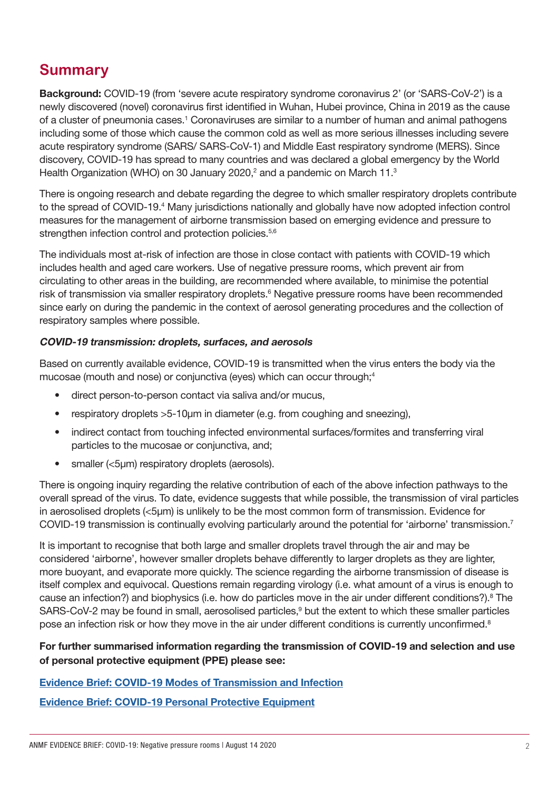## **Summary**

Background: COVID-19 (from 'severe acute respiratory syndrome coronavirus 2' (or 'SARS-CoV-2') is a newly discovered (novel) coronavirus first identified in Wuhan, Hubei province, China in 2019 as the cause of a cluster of pneumonia cases.<sup>1</sup> Coronaviruses are similar to a number of human and animal pathogens including some of those which cause the common cold as well as more serious illnesses including severe acute respiratory syndrome (SARS/ SARS-CoV-1) and Middle East respiratory syndrome (MERS). Since discovery, COVID-19 has spread to many countries and was declared a global emergency by the World Health Organization (WHO) on 30 January 2020,<sup>2</sup> and a pandemic on March 11.<sup>3</sup>

There is ongoing research and debate regarding the degree to which smaller respiratory droplets contribute to the spread of COVID-19.<sup>4</sup> Many jurisdictions nationally and globally have now adopted infection control measures for the management of airborne transmission based on emerging evidence and pressure to strengthen infection control and protection policies.<sup>5,6</sup>

The individuals most at-risk of infection are those in close contact with patients with COVID-19 which includes health and aged care workers. Use of negative pressure rooms, which prevent air from circulating to other areas in the building, are recommended where available, to minimise the potential risk of transmission via smaller respiratory droplets.<sup>6</sup> Negative pressure rooms have been recommended since early on during the pandemic in the context of aerosol generating procedures and the collection of respiratory samples where possible.

#### COVID-19 transmission: droplets, surfaces, and aerosols

Based on currently available evidence, COVID-19 is transmitted when the virus enters the body via the mucosae (mouth and nose) or conjunctiva (eyes) which can occur through;<sup>4</sup>

- direct person-to-person contact via saliva and/or mucus,
- respiratory droplets > 5-10 µm in diameter (e.g. from coughing and sneezing),
- indirect contact from touching infected environmental surfaces/formites and transferring viral particles to the mucosae or conjunctiva, and;
- smaller (<5um) respiratory droplets (aerosols).

There is ongoing inquiry regarding the relative contribution of each of the above infection pathways to the overall spread of the virus. To date, evidence suggests that while possible, the transmission of viral particles in aerosolised droplets (<5μm) is unlikely to be the most common form of transmission. Evidence for COVID-19 transmission is continually evolving particularly around the potential for 'airborne' transmission.7

It is important to recognise that both large and smaller droplets travel through the air and may be considered 'airborne', however smaller droplets behave differently to larger droplets as they are lighter, more buoyant, and evaporate more quickly. The science regarding the airborne transmission of disease is itself complex and equivocal. Questions remain regarding virology (i.e. what amount of a virus is enough to cause an infection?) and biophysics (i.e. how do particles move in the air under different conditions?).<sup>8</sup> The SARS-CoV-2 may be found in small, aerosolised particles,<sup>9</sup> but the extent to which these smaller particles pose an infection risk or how they move in the air under different conditions is currently unconfirmed.<sup>8</sup>

#### For further summarised information regarding the transmission of COVID-19 and selection and use of personal protective equipment (PPE) please see:

#### [Evidence Brief: COVID-19 Modes of Transmission and Infection](http://www.anmf.org.au/documents/ANMF_Evidence_Brief_COVID-19-Modes_of_transmission_and_infection.pdf)

[Evidence Brief: COVID-19 Personal Protective Equipment](http://www.anmf.org.au/documents/ANMF_Evidence_Brief_COVID-19-PPE.pdf)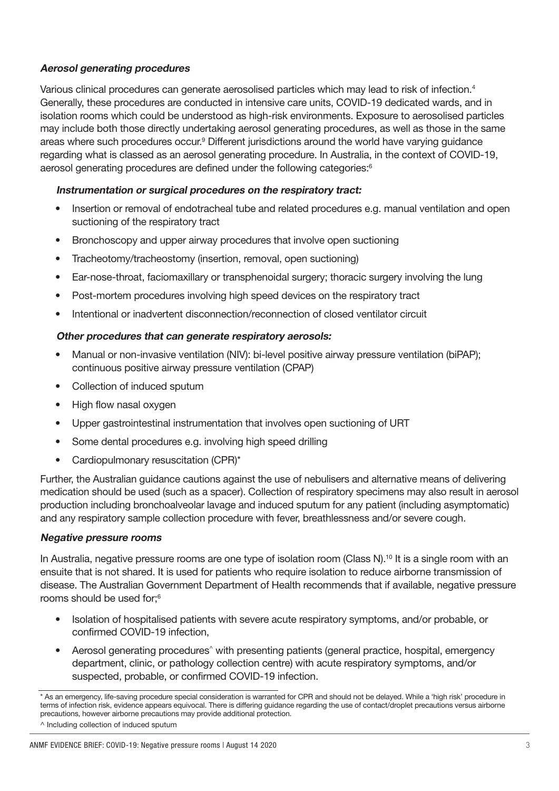#### Aerosol generating procedures

Various clinical procedures can generate aerosolised particles which may lead to risk of infection.<sup>4</sup> Generally, these procedures are conducted in intensive care units, COVID-19 dedicated wards, and in isolation rooms which could be understood as high-risk environments. Exposure to aerosolised particles may include both those directly undertaking aerosol generating procedures, as well as those in the same areas where such procedures occur.<sup>9</sup> Different jurisdictions around the world have varying guidance regarding what is classed as an aerosol generating procedure. In Australia, in the context of COVID-19, aerosol generating procedures are defined under the following categories:<sup>6</sup>

#### Instrumentation or surgical procedures on the respiratory tract:

- Insertion or removal of endotracheal tube and related procedures e.g. manual ventilation and open suctioning of the respiratory tract
- Bronchoscopy and upper airway procedures that involve open suctioning
- Tracheotomy/tracheostomy (insertion, removal, open suctioning)
- Ear-nose-throat, faciomaxillary or transphenoidal surgery; thoracic surgery involving the lung
- Post-mortem procedures involving high speed devices on the respiratory tract
- Intentional or inadvertent disconnection/reconnection of closed ventilator circuit

#### Other procedures that can generate respiratory aerosols:

- Manual or non-invasive ventilation (NIV): bi-level positive airway pressure ventilation (biPAP); continuous positive airway pressure ventilation (CPAP)
- Collection of induced sputum
- High flow nasal oxygen
- Upper gastrointestinal instrumentation that involves open suctioning of URT
- Some dental procedures e.g. involving high speed drilling
- Cardiopulmonary resuscitation (CPR)\*

Further, the Australian guidance cautions against the use of nebulisers and alternative means of delivering medication should be used (such as a spacer). Collection of respiratory specimens may also result in aerosol production including bronchoalveolar lavage and induced sputum for any patient (including asymptomatic) and any respiratory sample collection procedure with fever, breathlessness and/or severe cough.

#### Negative pressure rooms

In Australia, negative pressure rooms are one type of isolation room (Class N).<sup>10</sup> It is a single room with an ensuite that is not shared. It is used for patients who require isolation to reduce airborne transmission of disease. The Australian Government Department of Health recommends that if available, negative pressure rooms should be used for;6

- Isolation of hospitalised patients with severe acute respiratory symptoms, and/or probable, or confirmed COVID-19 infection,
- Aerosol generating procedures<sup>\*</sup> with presenting patients (general practice, hospital, emergency department, clinic, or pathology collection centre) with acute respiratory symptoms, and/or suspected, probable, or confirmed COVID-19 infection.

<sup>\*</sup> As an emergency, life-saving procedure special consideration is warranted for CPR and should not be delayed. While a 'high risk' procedure in terms of infection risk, evidence appears equivocal. There is differing guidance regarding the use of contact/droplet precautions versus airborne precautions, however airborne precautions may provide additional protection.

<sup>^</sup> Including collection of induced sputum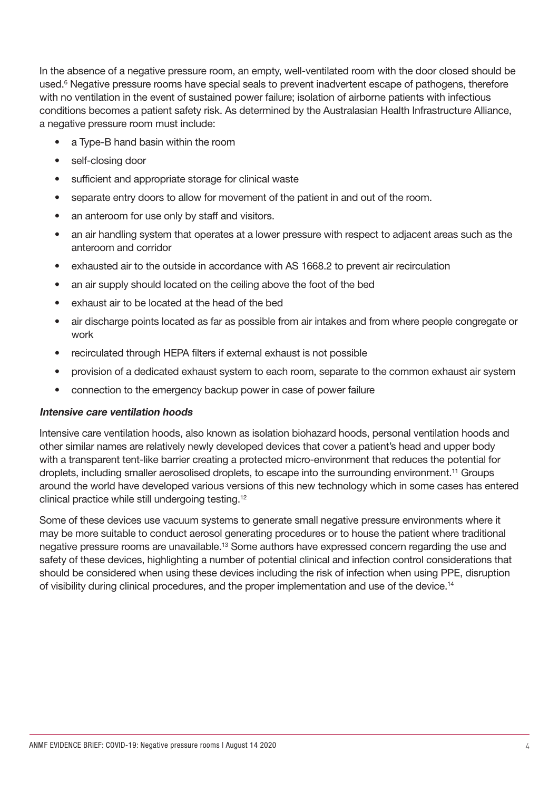In the absence of a negative pressure room, an empty, well-ventilated room with the door closed should be used.<sup>6</sup> Negative pressure rooms have special seals to prevent inadvertent escape of pathogens, therefore with no ventilation in the event of sustained power failure; isolation of airborne patients with infectious conditions becomes a patient safety risk. As determined by the Australasian Health Infrastructure Alliance, a negative pressure room must include:

- a Type-B hand basin within the room
- self-closing door
- sufficient and appropriate storage for clinical waste
- separate entry doors to allow for movement of the patient in and out of the room.
- an anteroom for use only by staff and visitors.
- an air handling system that operates at a lower pressure with respect to adjacent areas such as the anteroom and corridor
- exhausted air to the outside in accordance with AS 1668.2 to prevent air recirculation
- an air supply should located on the ceiling above the foot of the bed
- exhaust air to be located at the head of the bed
- air discharge points located as far as possible from air intakes and from where people congregate or work
- recirculated through HEPA filters if external exhaust is not possible
- provision of a dedicated exhaust system to each room, separate to the common exhaust air system
- connection to the emergency backup power in case of power failure

#### Intensive care ventilation hoods

Intensive care ventilation hoods, also known as isolation biohazard hoods, personal ventilation hoods and other similar names are relatively newly developed devices that cover a patient's head and upper body with a transparent tent-like barrier creating a protected micro-environment that reduces the potential for droplets, including smaller aerosolised droplets, to escape into the surrounding environment.11 Groups around the world have developed various versions of this new technology which in some cases has entered clinical practice while still undergoing testing.<sup>12</sup>

Some of these devices use vacuum systems to generate small negative pressure environments where it may be more suitable to conduct aerosol generating procedures or to house the patient where traditional negative pressure rooms are unavailable.13 Some authors have expressed concern regarding the use and safety of these devices, highlighting a number of potential clinical and infection control considerations that should be considered when using these devices including the risk of infection when using PPE, disruption of visibility during clinical procedures, and the proper implementation and use of the device.<sup>14</sup>